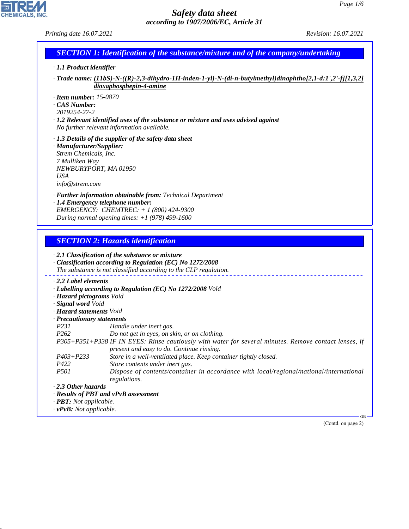*Printing date 16.07.2021 Revision: 16.07.2021*

CHEMICALS, INC.

44.1.1

|                                                                                                                                                                                                                                                                                                                                     | <b>SECTION 1: Identification of the substance/mixture and of the company/undertaking</b>                                                                                                                                                                                                                                                                                                                                                                                                                     |
|-------------------------------------------------------------------------------------------------------------------------------------------------------------------------------------------------------------------------------------------------------------------------------------------------------------------------------------|--------------------------------------------------------------------------------------------------------------------------------------------------------------------------------------------------------------------------------------------------------------------------------------------------------------------------------------------------------------------------------------------------------------------------------------------------------------------------------------------------------------|
| · 1.1 Product identifier                                                                                                                                                                                                                                                                                                            |                                                                                                                                                                                                                                                                                                                                                                                                                                                                                                              |
|                                                                                                                                                                                                                                                                                                                                     | $\cdot$ Trade name: (11bS)-N-((R)-2,3-dihydro-1H-inden-1-yl)-N-(di-n-butylmethyl)dinaphtho[2,1-d:1',2'-f][1,3,2]<br>dioxaphosphepin-4-amine                                                                                                                                                                                                                                                                                                                                                                  |
| $\cdot$ Item number: 15-0870<br>$\cdot$ CAS Number:<br>2019254-27-2                                                                                                                                                                                                                                                                 | $\cdot$ 1.2 Relevant identified uses of the substance or mixture and uses advised against<br>No further relevant information available.                                                                                                                                                                                                                                                                                                                                                                      |
| · Manufacturer/Supplier:<br>Strem Chemicals, Inc.<br>7 Mulliken Way<br>NEWBURYPORT, MA 01950<br><b>USA</b><br>info@strem.com                                                                                                                                                                                                        | $\cdot$ 1.3 Details of the supplier of the safety data sheet                                                                                                                                                                                                                                                                                                                                                                                                                                                 |
| · 1.4 Emergency telephone number:                                                                                                                                                                                                                                                                                                   | · Further information obtainable from: Technical Department<br>EMERGENCY: CHEMTREC: + 1 (800) 424-9300<br>During normal opening times: $+1$ (978) 499-1600                                                                                                                                                                                                                                                                                                                                                   |
|                                                                                                                                                                                                                                                                                                                                     | <b>SECTION 2: Hazards identification</b>                                                                                                                                                                                                                                                                                                                                                                                                                                                                     |
|                                                                                                                                                                                                                                                                                                                                     | · 2.1 Classification of the substance or mixture<br>· Classification according to Regulation (EC) No 1272/2008<br>The substance is not classified according to the CLP regulation.                                                                                                                                                                                                                                                                                                                           |
| $\cdot$ 2.2 Label elements<br>· Hazard pictograms Void<br>· Signal word Void<br>· Hazard statements Void<br>· Precautionary statements<br>P231<br>P <sub>262</sub><br>$P403 + P233$<br>P422<br>P501<br>2.3 Other hazards<br>· Results of PBT and vPvB assessment<br>· <b>PBT</b> : Not applicable.<br>$\cdot$ vPvB: Not applicable. | · Labelling according to Regulation (EC) No 1272/2008 Void<br>Handle under inert gas.<br>Do not get in eyes, on skin, or on clothing.<br>P305+P351+P338 IF IN EYES: Rinse cautiously with water for several minutes. Remove contact lenses, if<br>present and easy to do. Continue rinsing.<br>Store in a well-ventilated place. Keep container tightly closed.<br>Store contents under inert gas.<br>Dispose of contents/container in accordance with local/regional/national/international<br>regulations. |
|                                                                                                                                                                                                                                                                                                                                     | GB.                                                                                                                                                                                                                                                                                                                                                                                                                                                                                                          |
|                                                                                                                                                                                                                                                                                                                                     | (Contd. on page 2)                                                                                                                                                                                                                                                                                                                                                                                                                                                                                           |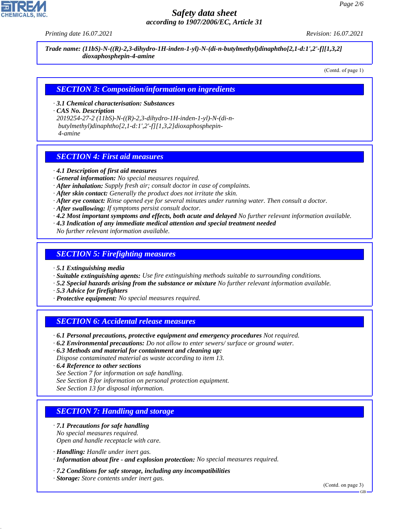

*Printing date 16.07.2021 Revision: 16.07.2021*

*Trade name: (11bS)-N-((R)-2,3-dihydro-1H-inden-1-yl)-N-(di-n-butylmethyl)dinaphtho[2,1-d:1',2'-f][1,3,2] dioxaphosphepin-4-amine*

(Contd. of page 1)

#### *SECTION 3: Composition/information on ingredients*

*· 3.1 Chemical characterisation: Substances*

*· CAS No. Description*

*2019254-27-2 (11bS)-N-((R)-2,3-dihydro-1H-inden-1-yl)-N-(di-n butylmethyl)dinaphtho[2,1-d:1',2'-f][1,3,2]dioxaphosphepin- 4-amine*

## *SECTION 4: First aid measures*

- *· 4.1 Description of first aid measures*
- *· General information: No special measures required.*
- *· After inhalation: Supply fresh air; consult doctor in case of complaints.*
- *· After skin contact: Generally the product does not irritate the skin.*
- *· After eye contact: Rinse opened eye for several minutes under running water. Then consult a doctor.*
- *· After swallowing: If symptoms persist consult doctor.*
- *· 4.2 Most important symptoms and effects, both acute and delayed No further relevant information available.*
- *· 4.3 Indication of any immediate medical attention and special treatment needed*
- *No further relevant information available.*

#### *SECTION 5: Firefighting measures*

- *· 5.1 Extinguishing media*
- *· Suitable extinguishing agents: Use fire extinguishing methods suitable to surrounding conditions.*
- *· 5.2 Special hazards arising from the substance or mixture No further relevant information available.*
- *· 5.3 Advice for firefighters*
- *· Protective equipment: No special measures required.*

#### *SECTION 6: Accidental release measures*

- *· 6.1 Personal precautions, protective equipment and emergency procedures Not required.*
- *· 6.2 Environmental precautions: Do not allow to enter sewers/ surface or ground water.*
- *· 6.3 Methods and material for containment and cleaning up:*

*Dispose contaminated material as waste according to item 13.*

- *· 6.4 Reference to other sections*
- *See Section 7 for information on safe handling.*
- *See Section 8 for information on personal protection equipment.*
- *See Section 13 for disposal information.*

# *SECTION 7: Handling and storage*

- *· 7.1 Precautions for safe handling No special measures required.*
- *Open and handle receptacle with care.*
- *· Handling: Handle under inert gas.*

44.1.1

- *· Information about fire and explosion protection: No special measures required.*
- *· 7.2 Conditions for safe storage, including any incompatibilities*
- *· Storage: Store contents under inert gas.*

(Contd. on page 3)

GB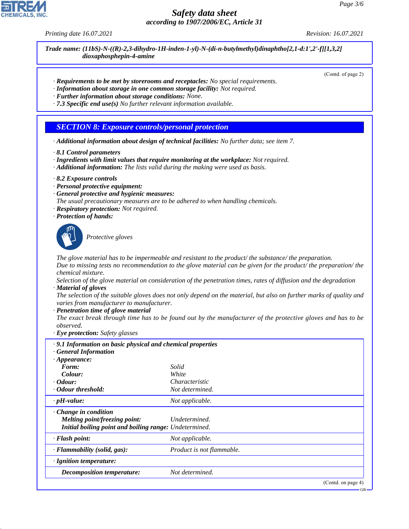*Printing date 16.07.2021 Revision: 16.07.2021*

*Trade name: (11bS)-N-((R)-2,3-dihydro-1H-inden-1-yl)-N-(di-n-butylmethyl)dinaphtho[2,1-d:1',2'-f][1,3,2] dioxaphosphepin-4-amine*

(Contd. of page 2)

- *· Requirements to be met by storerooms and receptacles: No special requirements.*
- *· Information about storage in one common storage facility: Not required.*
- *· Further information about storage conditions: None.*
- *· 7.3 Specific end use(s) No further relevant information available.*

# *SECTION 8: Exposure controls/personal protection*

- *· Additional information about design of technical facilities: No further data; see item 7.*
- *· 8.1 Control parameters*
- *· Ingredients with limit values that require monitoring at the workplace: Not required.*
- *· Additional information: The lists valid during the making were used as basis.*
- *· 8.2 Exposure controls*
- *· Personal protective equipment:*
- *· General protective and hygienic measures:*
- *The usual precautionary measures are to be adhered to when handling chemicals.*
- *· Respiratory protection: Not required.*
- *· Protection of hands:*



44.1.1

\_S*Protective gloves*

*The glove material has to be impermeable and resistant to the product/ the substance/ the preparation.*

*Due to missing tests no recommendation to the glove material can be given for the product/ the preparation/ the chemical mixture.*

*Selection of the glove material on consideration of the penetration times, rates of diffusion and the degradation · Material of gloves*

*The selection of the suitable gloves does not only depend on the material, but also on further marks of quality and varies from manufacturer to manufacturer.*

*· Penetration time of glove material*

*The exact break through time has to be found out by the manufacturer of the protective gloves and has to be observed.*

*· Eye protection: Safety glasses*

| .9.1 Information on basic physical and chemical properties |                           |                    |
|------------------------------------------------------------|---------------------------|--------------------|
| · General Information                                      |                           |                    |
| $\cdot$ Appearance:                                        |                           |                    |
| Form:                                                      | Solid                     |                    |
| Colour:                                                    | White                     |                    |
| $\cdot$ Odour:                                             | Characteristic            |                    |
| · Odour threshold:                                         | Not determined.           |                    |
| $\cdot$ pH-value:                                          | Not applicable.           |                    |
| $\cdot$ Change in condition                                |                           |                    |
| Melting point/freezing point:                              | Undetermined.             |                    |
| Initial boiling point and boiling range: Undetermined.     |                           |                    |
| · Flash point:                                             | Not applicable.           |                    |
| · Flammability (solid, gas):                               | Product is not flammable. |                    |
| · Ignition temperature:                                    |                           |                    |
| <b>Decomposition temperature:</b>                          | Not determined.           |                    |
|                                                            |                           | (Contd. on page 4) |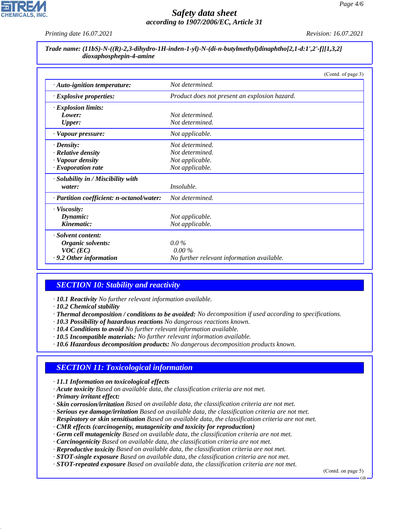*Printing date 16.07.2021 Revision: 16.07.2021*

| Trade name: (11bS)-N-((R)-2,3-dihydro-1H-inden-1-yl)-N-(di-n-butylmethyl)dinaphtho[2,1-d:1',2'-f][1,3,2] |
|----------------------------------------------------------------------------------------------------------|
| dioxaphosphepin-4-amine                                                                                  |

|                                           | (Contd. of page 3)                            |
|-------------------------------------------|-----------------------------------------------|
| · Auto-ignition temperature:              | Not determined.                               |
| $\cdot$ Explosive properties:             | Product does not present an explosion hazard. |
| $\cdot$ Explosion limits:                 |                                               |
| Lower:                                    | Not determined.                               |
| <b>Upper:</b>                             | Not determined.                               |
| · Vapour pressure:                        | Not applicable.                               |
| $\cdot$ Density:                          | Not determined.                               |
| · Relative density                        | Not determined.                               |
| · Vapour density                          | Not applicable.                               |
| $\cdot$ Evaporation rate                  | Not applicable.                               |
| · Solubility in / Miscibility with        |                                               |
| water:                                    | <i>Insoluble.</i>                             |
| · Partition coefficient: n-octanol/water: | Not determined.                               |
| $\cdot$ Viscosity:                        |                                               |
| Dynamic:                                  | Not applicable.                               |
| Kinematic:                                | Not applicable.                               |
| · Solvent content:                        |                                               |
| Organic solvents:                         | $0.0\%$                                       |
| $VOC$ (EC)                                | $0.00\%$                                      |
| $\cdot$ 9.2 Other information             | No further relevant information available.    |

# *SECTION 10: Stability and reactivity*

- *· 10.1 Reactivity No further relevant information available.*
- *· 10.2 Chemical stability*
- *· Thermal decomposition / conditions to be avoided: No decomposition if used according to specifications.*
- *· 10.3 Possibility of hazardous reactions No dangerous reactions known.*
- *· 10.4 Conditions to avoid No further relevant information available.*
- *· 10.5 Incompatible materials: No further relevant information available.*
- *· 10.6 Hazardous decomposition products: No dangerous decomposition products known.*

# *SECTION 11: Toxicological information*

- *· 11.1 Information on toxicological effects*
- *· Acute toxicity Based on available data, the classification criteria are not met.*
- *· Primary irritant effect:*

44.1.1

- *· Skin corrosion/irritation Based on available data, the classification criteria are not met.*
- *· Serious eye damage/irritation Based on available data, the classification criteria are not met.*
- *· Respiratory or skin sensitisation Based on available data, the classification criteria are not met.*
- *· CMR effects (carcinogenity, mutagenicity and toxicity for reproduction)*
- *· Germ cell mutagenicity Based on available data, the classification criteria are not met.*
- *· Carcinogenicity Based on available data, the classification criteria are not met.*
- *· Reproductive toxicity Based on available data, the classification criteria are not met.*
- *· STOT-single exposure Based on available data, the classification criteria are not met.*
- *· STOT-repeated exposure Based on available data, the classification criteria are not met.*

(Contd. on page 5)

GB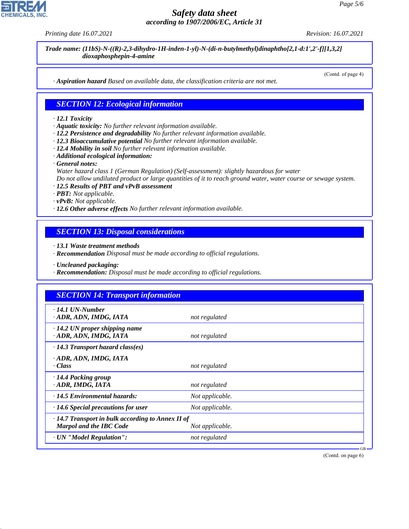44.1.1

# *Safety data sheet according to 1907/2006/EC, Article 31*

*Printing date 16.07.2021 Revision: 16.07.2021*

*Trade name: (11bS)-N-((R)-2,3-dihydro-1H-inden-1-yl)-N-(di-n-butylmethyl)dinaphtho[2,1-d:1',2'-f][1,3,2] dioxaphosphepin-4-amine*

(Contd. of page 4)

*· Aspiration hazard Based on available data, the classification criteria are not met.*

## *SECTION 12: Ecological information*

#### *· 12.1 Toxicity*

- *· Aquatic toxicity: No further relevant information available.*
- *· 12.2 Persistence and degradability No further relevant information available.*
- *· 12.3 Bioaccumulative potential No further relevant information available.*
- *· 12.4 Mobility in soil No further relevant information available.*
- *· Additional ecological information:*
- *· General notes:*
- *Water hazard class 1 (German Regulation) (Self-assessment): slightly hazardous for water*

*Do not allow undiluted product or large quantities of it to reach ground water, water course or sewage system.*

- *· 12.5 Results of PBT and vPvB assessment*
- *· PBT: Not applicable.*
- *· vPvB: Not applicable.*
- *· 12.6 Other adverse effects No further relevant information available.*

## *SECTION 13: Disposal considerations*

*· 13.1 Waste treatment methods*

*· Recommendation Disposal must be made according to official regulations.*

*· Uncleaned packaging:*

*· Recommendation: Disposal must be made according to official regulations.*

| $\cdot$ 14.1 UN-Number                                                             |                 |  |
|------------------------------------------------------------------------------------|-----------------|--|
| · ADR, ADN, IMDG, IATA                                                             | not regulated   |  |
| $\cdot$ 14.2 UN proper shipping name<br>· ADR, ADN, IMDG, IATA                     | not regulated   |  |
| $\cdot$ 14.3 Transport hazard class(es)                                            |                 |  |
| · ADR, ADN, IMDG, IATA<br>· Class                                                  | not regulated   |  |
| · 14.4 Packing group<br>· ADR, IMDG, IATA                                          | not regulated   |  |
| · 14.5 Environmental hazards:                                                      | Not applicable. |  |
| $\cdot$ 14.6 Special precautions for user                                          | Not applicable. |  |
| $\cdot$ 14.7 Transport in bulk according to Annex II of<br>Marpol and the IBC Code | Not applicable. |  |
| · UN "Model Regulation":                                                           | not regulated   |  |

(Contd. on page 6)